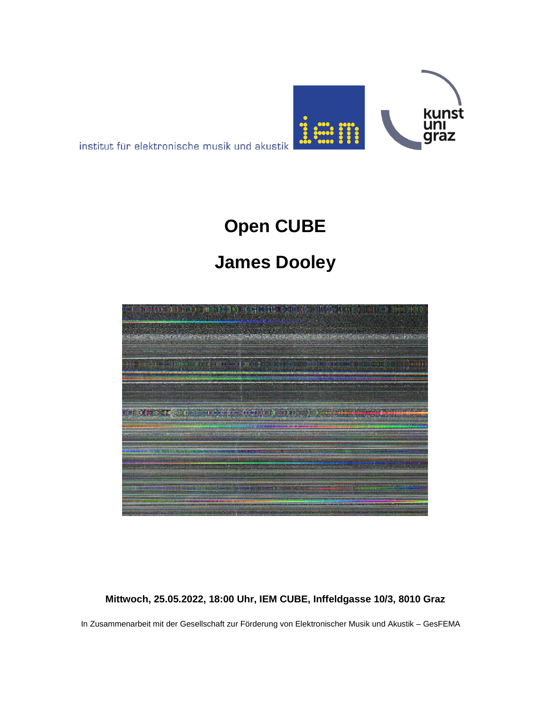

institut für elektronische musik und akustik

# **Open CUBE**

## **James Dooley**



#### **Mittwoch, 25.05.2022, 18:00 Uhr, IEM CUBE, Inffeldgasse 10/3, 8010 Graz**

In Zusammenarbeit mit der Gesellschaft zur Förderung von Elektronischer Musik und Akustik – GesFEMA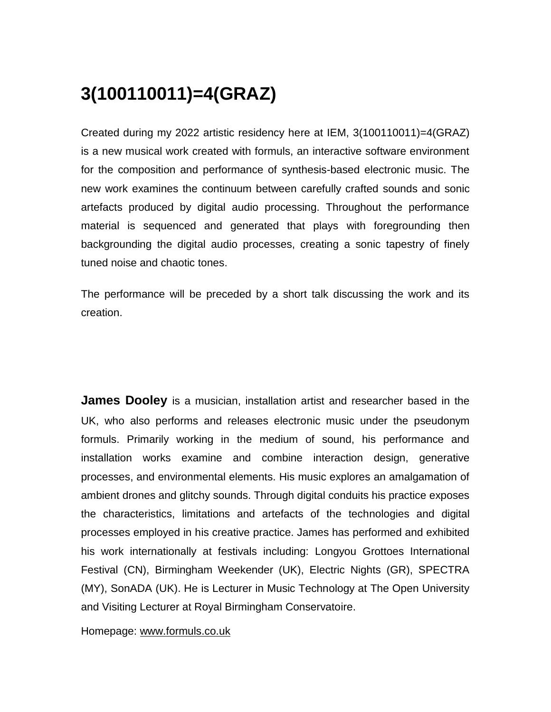### **3(100110011)=4(GRAZ)**

Created during my 2022 artistic residency here at IEM, 3(100110011)=4(GRAZ) is a new musical work created with formuls, an interactive software environment for the composition and performance of synthesis-based electronic music. The new work examines the continuum between carefully crafted sounds and sonic artefacts produced by digital audio processing. Throughout the performance material is sequenced and generated that plays with foregrounding then backgrounding the digital audio processes, creating a sonic tapestry of finely tuned noise and chaotic tones.

The performance will be preceded by a short talk discussing the work and its creation.

**James Dooley** is a musician, installation artist and researcher based in the UK, who also performs and releases electronic music under the pseudonym formuls. Primarily working in the medium of sound, his performance and installation works examine and combine interaction design, generative processes, and environmental elements. His music explores an amalgamation of ambient drones and glitchy sounds. Through digital conduits his practice exposes the characteristics, limitations and artefacts of the technologies and digital processes employed in his creative practice. James has performed and exhibited his work internationally at festivals including: Longyou Grottoes International Festival (CN), Birmingham Weekender (UK), Electric Nights (GR), SPECTRA (MY), SonADA (UK). He is Lecturer in Music Technology at The Open University and Visiting Lecturer at Royal Birmingham Conservatoire.

Homepage: [www.formuls.co.uk](http://www.formuls.co.uk/)